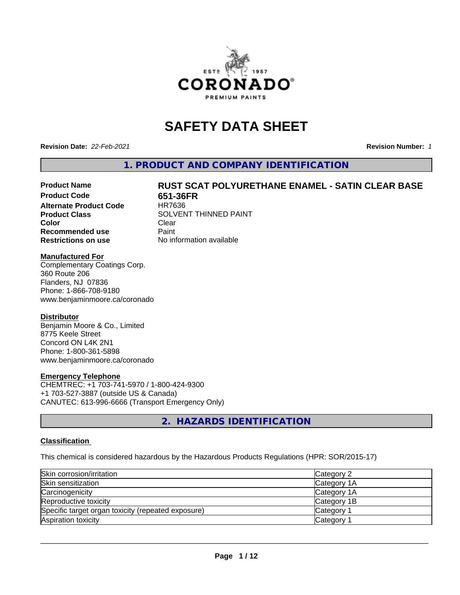

# **SAFETY DATA SHEET**

**Revision Date:** *22-Feb-2021* **Revision Number:** *1*

**1. PRODUCT AND COMPANY IDENTIFICATION**

# Product Name **RUST SCAT POLYURETHANE ENAMEL - SATIN CLEAR BASE**<br>Product Code **RESER**

**Alternate Product Code Color** Clear Clear **Recommended use** Paint **Restrictions on use** No information available

**651-36FR**<br>HR7636 **Product Class** SOLVENT THINNED PAINT

#### **Manufactured For**

Complementary Coatings Corp. 360 Route 206 Flanders, NJ 07836 Phone: 1-866-708-9180 www.benjaminmoore.ca/coronado

#### **Distributor**

Benjamin Moore & Co., Limited 8775 Keele Street Concord ON L4K 2N1 Phone: 1-800-361-5898 www.benjaminmoore.ca/coronado

#### **Emergency Telephone**

CHEMTREC: +1 703-741-5970 / 1-800-424-9300 +1 703-527-3887 (outside US & Canada) CANUTEC: 613-996-6666 (Transport Emergency Only)

**2. HAZARDS IDENTIFICATION**

#### **Classification**

This chemical is considered hazardous by the Hazardous Products Regulations (HPR: SOR/2015-17)

| Skin corrosion/irritation                          | Category 2            |
|----------------------------------------------------|-----------------------|
| Skin sensitization                                 | Category 1A           |
| Carcinogenicity                                    | Category 1A           |
| Reproductive toxicity                              | Category 1B           |
| Specific target organ toxicity (repeated exposure) | Category <sup>2</sup> |
| Aspiration toxicity                                | <b>Category</b>       |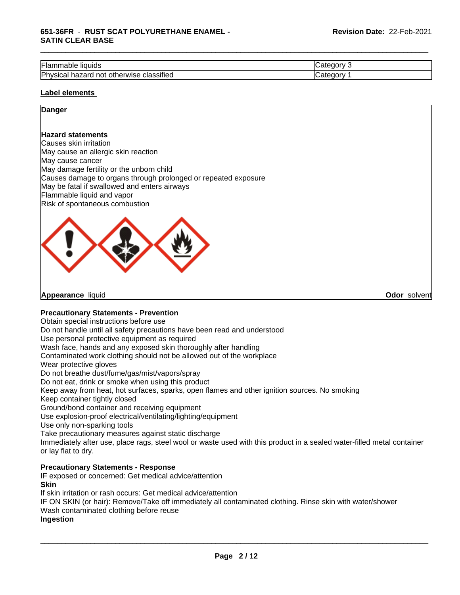| --<br><br>Flar<br>liquids <sup>.</sup><br>nable                               | $-$<br>- 11 |
|-------------------------------------------------------------------------------|-------------|
| .<br>Physica<br>classified<br>___<br>herwise<br>not<br>otr<br>nazard<br>ડાઉતા | -10         |

#### **Label elements**

# **Danger**

#### **Hazard statements**

Causes skin irritation May cause an allergic skin reaction May cause cancer May damage fertility or the unborn child Causes damage to organs through prolonged or repeated exposure May be fatal if swallowed and enters airways Flammable liquid and vapor Risk of spontaneous combustion



**Appearance** liquid **Odor** solvent

#### **Precautionary Statements - Prevention**

Obtain special instructions before use

Do not handle until all safety precautions have been read and understood

Use personal protective equipment as required

Wash face, hands and any exposed skin thoroughly after handling

Contaminated work clothing should not be allowed out of the workplace

Wear protective gloves

Do not breathe dust/fume/gas/mist/vapors/spray

Do not eat, drink or smoke when using this product

Keep away from heat, hot surfaces, sparks, open flames and other ignition sources. No smoking

Keep container tightly closed

Ground/bond container and receiving equipment

Use explosion-proof electrical/ventilating/lighting/equipment

Use only non-sparking tools

Take precautionary measures against static discharge

Immediately after use, place rags, steel wool or waste used with this product in a sealed water-filled metal container or lay flat to dry.

### **Precautionary Statements - Response**

IF exposed or concerned: Get medical advice/attention **Skin**

If skin irritation or rash occurs: Get medical advice/attention

IF ON SKIN (or hair): Remove/Take off immediately all contaminated clothing. Rinse skin with water/shower Wash contaminated clothing before reuse

#### **Ingestion**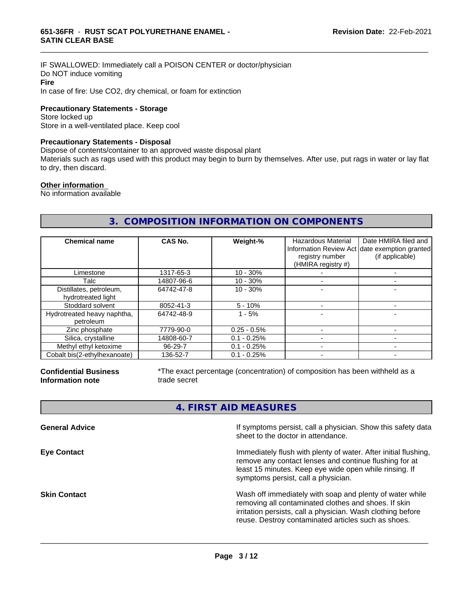IF SWALLOWED: Immediately call a POISON CENTER or doctor/physician Do NOT induce vomiting **Fire** In case of fire: Use CO2, dry chemical, or foam for extinction

**Precautionary Statements - Storage**

Store locked up Store in a well-ventilated place. Keep cool

#### **Precautionary Statements - Disposal**

Dispose of contents/container to an approved waste disposal plant

Materials such as rags used with this product may begin to burn by themselves. After use, put rags in water or lay flat to dry, then discard.

\_\_\_\_\_\_\_\_\_\_\_\_\_\_\_\_\_\_\_\_\_\_\_\_\_\_\_\_\_\_\_\_\_\_\_\_\_\_\_\_\_\_\_\_\_\_\_\_\_\_\_\_\_\_\_\_\_\_\_\_\_\_\_\_\_\_\_\_\_\_\_\_\_\_\_\_\_\_\_\_\_\_\_\_\_\_\_\_\_\_\_\_\_

#### **Other information**

No information available

# **3. COMPOSITION INFORMATION ON COMPONENTS**

| <b>Chemical name</b>                          | CAS No.    | Weight-%      | <b>Hazardous Material</b><br>registry number<br>(HMIRA registry #) | Date HMIRA filed and<br>Information Review Act date exemption granted<br>(if applicable) |
|-----------------------------------------------|------------|---------------|--------------------------------------------------------------------|------------------------------------------------------------------------------------------|
| Limestone                                     | 1317-65-3  | $10 - 30%$    |                                                                    |                                                                                          |
| Talc                                          | 14807-96-6 | $10 - 30%$    |                                                                    |                                                                                          |
| Distillates, petroleum,<br>hydrotreated light | 64742-47-8 | $10 - 30%$    |                                                                    |                                                                                          |
| Stoddard solvent                              | 8052-41-3  | $5 - 10%$     |                                                                    |                                                                                          |
| Hydrotreated heavy naphtha,<br>petroleum      | 64742-48-9 | $1 - 5%$      |                                                                    |                                                                                          |
| Zinc phosphate                                | 7779-90-0  | $0.25 - 0.5%$ |                                                                    |                                                                                          |
| Silica, crystalline                           | 14808-60-7 | $0.1 - 0.25%$ |                                                                    |                                                                                          |
| Methyl ethyl ketoxime                         | 96-29-7    | $0.1 - 0.25%$ |                                                                    |                                                                                          |
| Cobalt bis(2-ethylhexanoate)                  | 136-52-7   | $0.1 - 0.25%$ |                                                                    |                                                                                          |

**Confidential Business Information note**

\*The exact percentage (concentration) of composition has been withheld as a trade secret

# **4. FIRST AID MEASURES**

| Immediately flush with plenty of water. After initial flushing,<br>remove any contact lenses and continue flushing for at<br>least 15 minutes. Keep eye wide open while rinsing. If<br>symptoms persist, call a physician.<br>Wash off immediately with soap and plenty of water while<br>removing all contaminated clothes and shoes. If skin<br>irritation persists, call a physician. Wash clothing before<br>reuse. Destroy contaminated articles such as shoes. | <b>General Advice</b> | If symptoms persist, call a physician. Show this safety data<br>sheet to the doctor in attendance. |
|----------------------------------------------------------------------------------------------------------------------------------------------------------------------------------------------------------------------------------------------------------------------------------------------------------------------------------------------------------------------------------------------------------------------------------------------------------------------|-----------------------|----------------------------------------------------------------------------------------------------|
|                                                                                                                                                                                                                                                                                                                                                                                                                                                                      | <b>Eye Contact</b>    |                                                                                                    |
|                                                                                                                                                                                                                                                                                                                                                                                                                                                                      | <b>Skin Contact</b>   |                                                                                                    |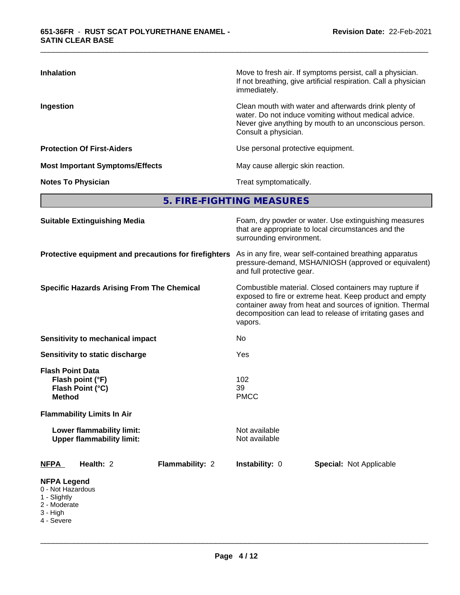| <b>Inhalation</b>                      | Move to fresh air. If symptoms persist, call a physician.<br>If not breathing, give artificial respiration. Call a physician<br>immediately.                                                     |
|----------------------------------------|--------------------------------------------------------------------------------------------------------------------------------------------------------------------------------------------------|
| Ingestion                              | Clean mouth with water and afterwards drink plenty of<br>water. Do not induce vomiting without medical advice.<br>Never give anything by mouth to an unconscious person.<br>Consult a physician. |
| <b>Protection Of First-Aiders</b>      | Use personal protective equipment.                                                                                                                                                               |
| <b>Most Important Symptoms/Effects</b> | May cause allergic skin reaction.                                                                                                                                                                |
| <b>Notes To Physician</b>              | Treat symptomatically.                                                                                                                                                                           |

**5. FIRE-FIGHTING MEASURES**

| <b>Suitable Extinguishing Media</b>                                                               | Foam, dry powder or water. Use extinguishing measures<br>that are appropriate to local circumstances and the<br>surrounding environment.                                                                                                               |  |  |  |
|---------------------------------------------------------------------------------------------------|--------------------------------------------------------------------------------------------------------------------------------------------------------------------------------------------------------------------------------------------------------|--|--|--|
| Protective equipment and precautions for firefighters                                             | As in any fire, wear self-contained breathing apparatus<br>pressure-demand, MSHA/NIOSH (approved or equivalent)<br>and full protective gear.                                                                                                           |  |  |  |
| <b>Specific Hazards Arising From The Chemical</b>                                                 | Combustible material. Closed containers may rupture if<br>exposed to fire or extreme heat. Keep product and empty<br>container away from heat and sources of ignition. Thermal<br>decomposition can lead to release of irritating gases and<br>vapors. |  |  |  |
| Sensitivity to mechanical impact                                                                  | No                                                                                                                                                                                                                                                     |  |  |  |
| Sensitivity to static discharge                                                                   | Yes                                                                                                                                                                                                                                                    |  |  |  |
| <b>Flash Point Data</b><br>Flash point (°F)<br>Flash Point (°C)<br><b>Method</b>                  | 102<br>39<br><b>PMCC</b>                                                                                                                                                                                                                               |  |  |  |
| <b>Flammability Limits In Air</b>                                                                 |                                                                                                                                                                                                                                                        |  |  |  |
| Lower flammability limit:<br><b>Upper flammability limit:</b>                                     | Not available<br>Not available                                                                                                                                                                                                                         |  |  |  |
| Health: 2<br><b>NFPA</b><br>Flammability: 2                                                       | Instability: 0<br><b>Special: Not Applicable</b>                                                                                                                                                                                                       |  |  |  |
| <b>NFPA Legend</b><br>0 - Not Hazardous<br>1 - Slightly<br>2 - Moderate<br>3 - High<br>4 - Severe |                                                                                                                                                                                                                                                        |  |  |  |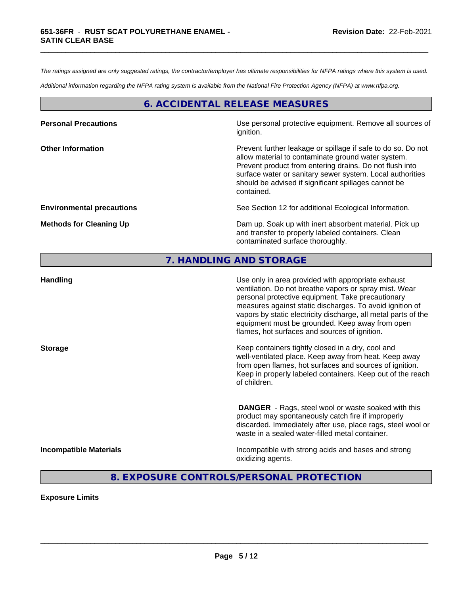*The ratings assigned are only suggested ratings, the contractor/employer has ultimate responsibilities for NFPA ratings where this system is used.*

\_\_\_\_\_\_\_\_\_\_\_\_\_\_\_\_\_\_\_\_\_\_\_\_\_\_\_\_\_\_\_\_\_\_\_\_\_\_\_\_\_\_\_\_\_\_\_\_\_\_\_\_\_\_\_\_\_\_\_\_\_\_\_\_\_\_\_\_\_\_\_\_\_\_\_\_\_\_\_\_\_\_\_\_\_\_\_\_\_\_\_\_\_

*Additional information regarding the NFPA rating system is available from the National Fire Protection Agency (NFPA) at www.nfpa.org.*

# **6. ACCIDENTAL RELEASE MEASURES**

| <b>Personal Precautions</b>      | Use personal protective equipment. Remove all sources of<br>ignition.                                                                                                                                                                                                                                            |
|----------------------------------|------------------------------------------------------------------------------------------------------------------------------------------------------------------------------------------------------------------------------------------------------------------------------------------------------------------|
| <b>Other Information</b>         | Prevent further leakage or spillage if safe to do so. Do not<br>allow material to contaminate ground water system.<br>Prevent product from entering drains. Do not flush into<br>surface water or sanitary sewer system. Local authorities<br>should be advised if significant spillages cannot be<br>contained. |
| <b>Environmental precautions</b> | See Section 12 for additional Ecological Information.                                                                                                                                                                                                                                                            |
| <b>Methods for Cleaning Up</b>   | Dam up. Soak up with inert absorbent material. Pick up<br>and transfer to properly labeled containers. Clean<br>contaminated surface thoroughly.                                                                                                                                                                 |

# **7. HANDLING AND STORAGE**

| <b>Handling</b>               | Use only in area provided with appropriate exhaust<br>ventilation. Do not breathe vapors or spray mist. Wear<br>personal protective equipment. Take precautionary<br>measures against static discharges. To avoid ignition of<br>vapors by static electricity discharge, all metal parts of the<br>equipment must be grounded. Keep away from open<br>flames, hot surfaces and sources of ignition. |
|-------------------------------|-----------------------------------------------------------------------------------------------------------------------------------------------------------------------------------------------------------------------------------------------------------------------------------------------------------------------------------------------------------------------------------------------------|
| <b>Storage</b>                | Keep containers tightly closed in a dry, cool and<br>well-ventilated place. Keep away from heat. Keep away<br>from open flames, hot surfaces and sources of ignition.<br>Keep in properly labeled containers. Keep out of the reach<br>of children.                                                                                                                                                 |
|                               | <b>DANGER</b> - Rags, steel wool or waste soaked with this<br>product may spontaneously catch fire if improperly<br>discarded. Immediately after use, place rags, steel wool or<br>waste in a sealed water-filled metal container.                                                                                                                                                                  |
| <b>Incompatible Materials</b> | Incompatible with strong acids and bases and strong<br>oxidizing agents.                                                                                                                                                                                                                                                                                                                            |

# **8. EXPOSURE CONTROLS/PERSONAL PROTECTION**

**Exposure Limits**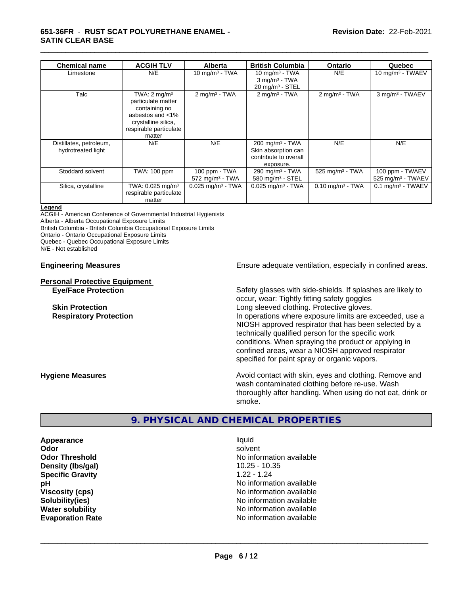| <b>Chemical name</b>                          | <b>ACGIH TLV</b>                                                                                                                              | <b>Alberta</b>                              | <b>British Columbia</b>                                                                  | <b>Ontario</b>                 | Quebec                                           |
|-----------------------------------------------|-----------------------------------------------------------------------------------------------------------------------------------------------|---------------------------------------------|------------------------------------------------------------------------------------------|--------------------------------|--------------------------------------------------|
| Limestone                                     | N/E                                                                                                                                           | 10 mg/m $3$ - TWA                           | 10 mg/m $3$ - TWA<br>$3$ mg/m <sup>3</sup> - TWA<br>$20$ mg/m <sup>3</sup> - STEL        | N/E                            | 10 mg/m $3$ - TWAEV                              |
| Talc                                          | TWA: $2 \text{ mq/m}^3$<br>particulate matter<br>containing no<br>asbestos and <1%<br>crystalline silica,<br>respirable particulate<br>matter | $2$ mg/m <sup>3</sup> - TWA                 | $2 \text{mq/m}^3$ - TWA                                                                  | $2$ mg/m <sup>3</sup> - TWA    | 3 mg/m <sup>3</sup> - TWAEV                      |
| Distillates, petroleum,<br>hydrotreated light | N/E                                                                                                                                           | N/E                                         | 200 mg/m <sup>3</sup> - TWA<br>Skin absorption can<br>contribute to overall<br>exposure. | N/E                            | N/E                                              |
| Stoddard solvent                              | TWA: 100 ppm                                                                                                                                  | 100 ppm - TWA<br>$572 \text{ mg/m}^3$ - TWA | 290 mg/m <sup>3</sup> - TWA<br>580 mg/m <sup>3</sup> - STEL                              | 525 mg/m $3$ - TWA             | 100 ppm - TWAEV<br>525 mg/m <sup>3</sup> - TWAEV |
| Silica, crystalline                           | TWA: $0.025$ mg/m <sup>3</sup><br>respirable particulate<br>matter                                                                            | $0.025$ mg/m <sup>3</sup> - TWA             | $0.025$ mg/m <sup>3</sup> - TWA                                                          | $0.10$ mg/m <sup>3</sup> - TWA | $0.1$ mg/m <sup>3</sup> - TWAEV                  |

#### **Legend**

ACGIH - American Conference of Governmental Industrial Hygienists

Alberta - Alberta Occupational Exposure Limits

British Columbia - British Columbia Occupational Exposure Limits

Ontario - Ontario Occupational Exposure Limits

Quebec - Quebec Occupational Exposure Limits

N/E - Not established

#### **Personal Protective Equipment**

**Engineering Measures Ensure** Ensure adequate ventilation, especially in confined areas.

**Eye/Face Protection** Safety glasses with side-shields. If splashes are likely to occur, wear: Tightly fitting safety goggles **Skin Protection Skin Protection Skin Protective gloves.** Long sleeved clothing. Protective gloves. **Respiratory Protection In operations where exposure limits are exceeded, use a** NIOSH approved respirator that has been selected by a technically qualified person for the specific work conditions. When spraying the product or applying in confined areas, wear a NIOSH approved respirator specified for paint spray or organic vapors.

**Hygiene Measures Avoid contact with skin, eyes and clothing. Remove and Hygiene Measures Avoid contact with skin, eyes and clothing. Remove and** wash contaminated clothing before re-use. Wash thoroughly after handling. When using do not eat, drink or smoke.

# **9. PHYSICAL AND CHEMICAL PROPERTIES**

**Appearance** liquid **Odor** solvent **Density (lbs/gal)** 10.25 - 10.35 **Specific Gravity** 1.22 - 1.24

**Odor Threshold No information available No information available pH** No information available **Viscosity (cps)** No information available **Solubility(ies)** No information available **Water solubility Water solubility Water solubility Water solubility Water solubility Water solution Evaporation Rate No information available No information available**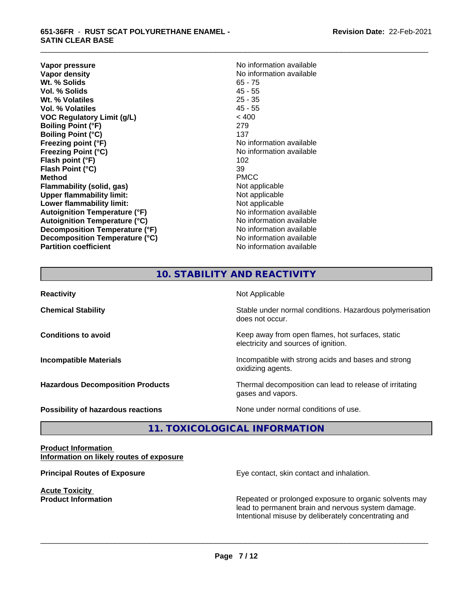#### **651-36FR** - **RUST SCAT POLYURETHANE ENAMEL - SATIN CLEAR BASE**

**Vapor pressure** No information available<br> **Vapor density**<br>
No information available **Wt. % Solids** 65 - 75 **Vol. % Solids Wt. % Volatiles** 25 - 35 **Vol. % Volatiles** 45 - 55 **VOC Regulatory Limit (g/L)** < 400 **Boiling Point (°F)** 279 **Boiling Point (°C)** 137 **Freezing point (°F)** No information available **Freezing Point (°C)** No information available **Flash point (°F)** 102 **Flash Point (°C)** 39 **Method** PMCC **Flammability (solid, gas)** Not applicable **Upper flammability limit:**<br> **Lower flammability limit:** Not applicable Not applicable **Lower flammability limit:**<br> **Autoignition Temperature (°F)** Not applicable havailable **Autoignition Temperature (°F) Autoignition Temperature (°C)**<br> **Decomposition Temperature (°F)** No information available **Decomposition Temperature (°F) Decomposition Temperature (°C)** No information available **Partition coefficient Contract Community No information available** 

**No information available**<br>65 - 75

\_\_\_\_\_\_\_\_\_\_\_\_\_\_\_\_\_\_\_\_\_\_\_\_\_\_\_\_\_\_\_\_\_\_\_\_\_\_\_\_\_\_\_\_\_\_\_\_\_\_\_\_\_\_\_\_\_\_\_\_\_\_\_\_\_\_\_\_\_\_\_\_\_\_\_\_\_\_\_\_\_\_\_\_\_\_\_\_\_\_\_\_\_

# **10. STABILITY AND REACTIVITY**

| <b>Reactivity</b>                         | Not Applicable                                                                           |
|-------------------------------------------|------------------------------------------------------------------------------------------|
| <b>Chemical Stability</b>                 | Stable under normal conditions. Hazardous polymerisation<br>does not occur.              |
| <b>Conditions to avoid</b>                | Keep away from open flames, hot surfaces, static<br>electricity and sources of ignition. |
| <b>Incompatible Materials</b>             | Incompatible with strong acids and bases and strong<br>oxidizing agents.                 |
| <b>Hazardous Decomposition Products</b>   | Thermal decomposition can lead to release of irritating<br>gases and vapors.             |
| <b>Possibility of hazardous reactions</b> | None under normal conditions of use.                                                     |

# **11. TOXICOLOGICAL INFORMATION**

#### **Product Information Information on likely routes of exposure**

**Acute Toxicity** 

**Principal Routes of Exposure Exposure** Eye contact, skin contact and inhalation.

**Product Information Repeated or prolonged exposure to organic solvents may** Repeated or prolonged exposure to organic solvents may lead to permanent brain and nervous system damage. Intentional misuse by deliberately concentrating and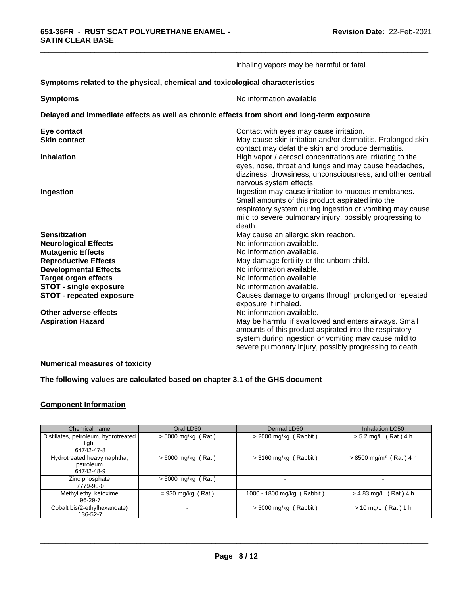|                                                                              | inhaling vapors may be harmful or fatal.                                                                              |
|------------------------------------------------------------------------------|-----------------------------------------------------------------------------------------------------------------------|
| Symptoms related to the physical, chemical and toxicological characteristics |                                                                                                                       |
| <b>Symptoms</b>                                                              | No information available                                                                                              |
|                                                                              | Delayed and immediate effects as well as chronic effects from short and long-term exposure                            |
| Eye contact                                                                  | Contact with eyes may cause irritation.                                                                               |
| <b>Skin contact</b>                                                          | May cause skin irritation and/or dermatitis. Prolonged skin                                                           |
|                                                                              | contact may defat the skin and produce dermatitis.                                                                    |
| <b>Inhalation</b>                                                            | High vapor / aerosol concentrations are irritating to the                                                             |
|                                                                              | eyes, nose, throat and lungs and may cause headaches,                                                                 |
|                                                                              | dizziness, drowsiness, unconsciousness, and other central                                                             |
|                                                                              | nervous system effects.                                                                                               |
| Ingestion                                                                    | Ingestion may cause irritation to mucous membranes.                                                                   |
|                                                                              | Small amounts of this product aspirated into the                                                                      |
|                                                                              | respiratory system during ingestion or vomiting may cause<br>mild to severe pulmonary injury, possibly progressing to |
|                                                                              | death.                                                                                                                |
| <b>Sensitization</b>                                                         | May cause an allergic skin reaction.                                                                                  |
| <b>Neurological Effects</b>                                                  | No information available.                                                                                             |
| <b>Mutagenic Effects</b>                                                     | No information available.                                                                                             |
| <b>Reproductive Effects</b>                                                  | May damage fertility or the unborn child.                                                                             |
| <b>Developmental Effects</b>                                                 | No information available.                                                                                             |
| <b>Target organ effects</b>                                                  | No information available.                                                                                             |
| <b>STOT - single exposure</b>                                                | No information available.                                                                                             |
| <b>STOT - repeated exposure</b>                                              | Causes damage to organs through prolonged or repeated                                                                 |
|                                                                              | exposure if inhaled.                                                                                                  |
| Other adverse effects                                                        | No information available.                                                                                             |
| <b>Aspiration Hazard</b>                                                     | May be harmful if swallowed and enters airways. Small                                                                 |
|                                                                              | amounts of this product aspirated into the respiratory                                                                |
|                                                                              | system during ingestion or vomiting may cause mild to                                                                 |
|                                                                              | severe pulmonary injury, possibly progressing to death.                                                               |

#### **Numerical measures of toxicity**

## **The following values are calculated based on chapter 3.1 of the GHS document**

### **Component Information**

| Chemical name                        | Oral LD50            | Dermal LD50                | Inhalation LC50                      |
|--------------------------------------|----------------------|----------------------------|--------------------------------------|
| Distillates, petroleum, hydrotreated | $>$ 5000 mg/kg (Rat) | $>$ 2000 mg/kg (Rabbit)    | $> 5.2$ mg/L (Rat) 4 h               |
| light                                |                      |                            |                                      |
| 64742-47-8                           |                      |                            |                                      |
| Hydrotreated heavy naphtha,          | $> 6000$ mg/kg (Rat) | $>$ 3160 mg/kg (Rabbit)    | $> 8500$ mg/m <sup>3</sup> (Rat) 4 h |
| petroleum                            |                      |                            |                                      |
| 64742-48-9                           |                      |                            |                                      |
| Zinc phosphate                       | $>$ 5000 mg/kg (Rat) | $\overline{\phantom{0}}$   | $\overline{\phantom{a}}$             |
| 7779-90-0                            |                      |                            |                                      |
| Methyl ethyl ketoxime                | $= 930$ mg/kg (Rat)  | 1000 - 1800 mg/kg (Rabbit) | $> 4.83$ mg/L (Rat) 4 h              |
| 96-29-7                              |                      |                            |                                      |
| Cobalt bis(2-ethylhexanoate)         |                      | > 5000 mg/kg (Rabbit)      | $> 10$ mg/L (Rat) 1 h                |
| 136-52-7                             |                      |                            |                                      |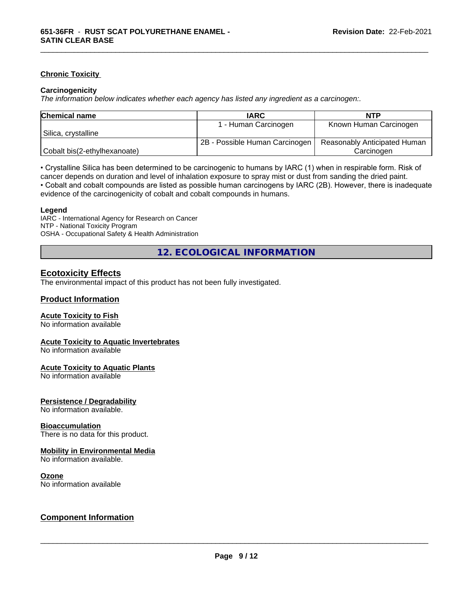#### **Chronic Toxicity**

#### **Carcinogenicity**

*The information below indicateswhether each agency has listed any ingredient as a carcinogen:.*

| <b>Chemical name</b>         | <b>IARC</b>                    | NTP                          |
|------------------------------|--------------------------------|------------------------------|
|                              | - Human Carcinogen             | Known Human Carcinogen       |
| Silica, crystalline          |                                |                              |
|                              | 2B - Possible Human Carcinogen | Reasonably Anticipated Human |
| Cobalt bis(2-ethylhexanoate) |                                | Carcinoɑen                   |

\_\_\_\_\_\_\_\_\_\_\_\_\_\_\_\_\_\_\_\_\_\_\_\_\_\_\_\_\_\_\_\_\_\_\_\_\_\_\_\_\_\_\_\_\_\_\_\_\_\_\_\_\_\_\_\_\_\_\_\_\_\_\_\_\_\_\_\_\_\_\_\_\_\_\_\_\_\_\_\_\_\_\_\_\_\_\_\_\_\_\_\_\_

• Crystalline Silica has been determined to be carcinogenic to humans by IARC (1) when in respirable form. Risk of cancer depends on duration and level of inhalation exposure to spray mist or dust from sanding the dried paint.• Cobalt and cobalt compounds are listed as possible human carcinogens by IARC (2B). However, there is inadequate evidence of the carcinogenicity of cobalt and cobalt compounds in humans.

#### **Legend**

IARC - International Agency for Research on Cancer NTP - National Toxicity Program OSHA - Occupational Safety & Health Administration

**12. ECOLOGICAL INFORMATION**

### **Ecotoxicity Effects**

The environmental impact of this product has not been fully investigated.

#### **Product Information**

#### **Acute Toxicity to Fish**

No information available

#### **Acute Toxicity to Aquatic Invertebrates**

No information available

#### **Acute Toxicity to Aquatic Plants**

No information available

#### **Persistence / Degradability**

No information available.

#### **Bioaccumulation**

There is no data for this product.

#### **Mobility in Environmental Media**

No information available.

#### **Ozone**

No information available

### **Component Information**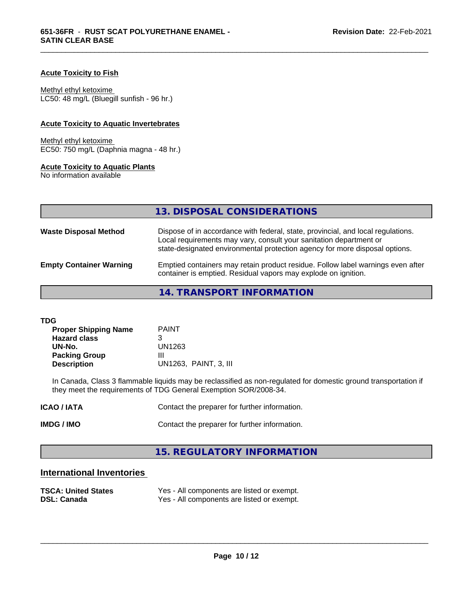#### **Acute Toxicity to Fish**

Methyl ethyl ketoxime

LC50: 48 mg/L (Bluegill sunfish - 96 hr.)

### **Acute Toxicity to Aquatic Invertebrates**

Methyl ethyl ketoxime EC50: 750 mg/L (Daphnia magna - 48 hr.)

#### **Acute Toxicity to Aquatic Plants**

No information available

|                                | 13. DISPOSAL CONSIDERATIONS                                                                                                                                                                                                           |
|--------------------------------|---------------------------------------------------------------------------------------------------------------------------------------------------------------------------------------------------------------------------------------|
| <b>Waste Disposal Method</b>   | Dispose of in accordance with federal, state, provincial, and local regulations.<br>Local requirements may vary, consult your sanitation department or<br>state-designated environmental protection agency for more disposal options. |
| <b>Empty Container Warning</b> | Emptied containers may retain product residue. Follow label warnings even after<br>container is emptied. Residual vapors may explode on ignition.                                                                                     |

\_\_\_\_\_\_\_\_\_\_\_\_\_\_\_\_\_\_\_\_\_\_\_\_\_\_\_\_\_\_\_\_\_\_\_\_\_\_\_\_\_\_\_\_\_\_\_\_\_\_\_\_\_\_\_\_\_\_\_\_\_\_\_\_\_\_\_\_\_\_\_\_\_\_\_\_\_\_\_\_\_\_\_\_\_\_\_\_\_\_\_\_\_

**14. TRANSPORT INFORMATION**

| <b>TDG</b> |  |  |
|------------|--|--|
|            |  |  |

| <b>Proper Shipping Name</b> | <b>PAINT</b>          |
|-----------------------------|-----------------------|
| <b>Hazard class</b>         |                       |
| UN-No.                      | UN1263                |
| <b>Packing Group</b>        | Ш                     |
| <b>Description</b>          | UN1263, PAINT, 3, III |

In Canada, Class 3 flammable liquids may be reclassified as non-regulated for domestic ground transportation if they meet the requirements of TDG General Exemption SOR/2008-34.

| <b>ICAO / IATA</b> | Contact the preparer for further information. |
|--------------------|-----------------------------------------------|
| IMDG / IMO         | Contact the preparer for further information. |

# **15. REGULATORY INFORMATION**

# **International Inventories**

| <b>TSCA: United States</b> | Yes - All components are listed or exempt. |
|----------------------------|--------------------------------------------|
| <b>DSL: Canada</b>         | Yes - All components are listed or exempt. |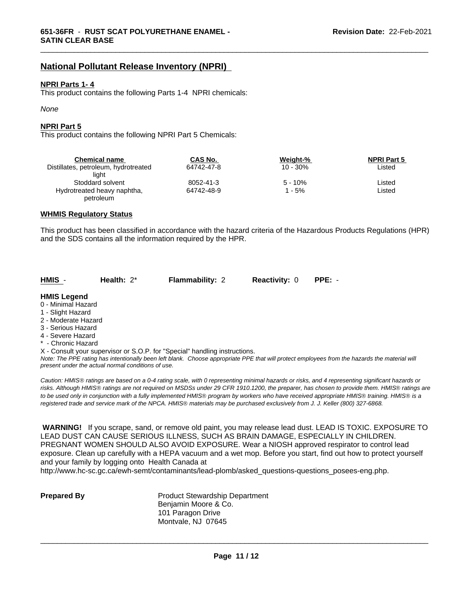# **National Pollutant Release Inventory (NPRI)**

#### **NPRI Parts 1- 4**

This product contains the following Parts 1-4 NPRI chemicals:

#### *None*

#### **NPRI Part 5**

This product contains the following NPRI Part 5 Chemicals:

| <b>Chemical name</b>                 | CAS No.    | Weight-%   | <b>NPRI Part 5</b> |  |
|--------------------------------------|------------|------------|--------------------|--|
| Distillates, petroleum, hydrotreated | 64742-47-8 | $10 - 30%$ | Listed             |  |
| liaht                                |            |            |                    |  |
| Stoddard solvent                     | 8052-41-3  | $5 - 10%$  | ∟isted             |  |
| Hydrotreated heavy naphtha,          | 64742-48-9 | 1 - 5%     | ∟isted             |  |
| petroleum                            |            |            |                    |  |

\_\_\_\_\_\_\_\_\_\_\_\_\_\_\_\_\_\_\_\_\_\_\_\_\_\_\_\_\_\_\_\_\_\_\_\_\_\_\_\_\_\_\_\_\_\_\_\_\_\_\_\_\_\_\_\_\_\_\_\_\_\_\_\_\_\_\_\_\_\_\_\_\_\_\_\_\_\_\_\_\_\_\_\_\_\_\_\_\_\_\_\_\_

#### **WHMIS Regulatory Status**

This product has been classified in accordance with the hazard criteria of the Hazardous Products Regulations (HPR) and the SDS contains all the information required by the HPR.

| HMIS - | Health: $2^*$ | <b>Flammability: 2</b> | <b>Reactivity:</b> 0 | PPE: - |  |
|--------|---------------|------------------------|----------------------|--------|--|
|--------|---------------|------------------------|----------------------|--------|--|

### **HMIS Legend**

- 0 Minimal Hazard
- 1 Slight Hazard
- 2 Moderate Hazard
- 3 Serious Hazard
- 4 Severe Hazard
- \* Chronic Hazard
- X Consult your supervisor or S.O.P. for "Special" handling instructions.

*Note: The PPE rating has intentionally been left blank. Choose appropriate PPE that will protect employees from the hazards the material will present under the actual normal conditions of use.*

*Caution: HMISÒ ratings are based on a 0-4 rating scale, with 0 representing minimal hazards or risks, and 4 representing significant hazards or risks. Although HMISÒ ratings are not required on MSDSs under 29 CFR 1910.1200, the preparer, has chosen to provide them. HMISÒ ratings are to be used only in conjunction with a fully implemented HMISÒ program by workers who have received appropriate HMISÒ training. HMISÒ is a registered trade and service mark of the NPCA. HMISÒ materials may be purchased exclusively from J. J. Keller (800) 327-6868.*

 **WARNING!** If you scrape, sand, or remove old paint, you may release lead dust. LEAD IS TOXIC. EXPOSURE TO LEAD DUST CAN CAUSE SERIOUS ILLNESS, SUCH AS BRAIN DAMAGE, ESPECIALLY IN CHILDREN. PREGNANT WOMEN SHOULD ALSO AVOID EXPOSURE.Wear a NIOSH approved respirator to control lead exposure. Clean up carefully with a HEPA vacuum and a wet mop. Before you start, find out how to protect yourself and your family by logging onto Health Canada at

http://www.hc-sc.gc.ca/ewh-semt/contaminants/lead-plomb/asked\_questions-questions\_posees-eng.php.

| <b>Prepared By</b> |  |
|--------------------|--|
|--------------------|--|

**Product Stewardship Department** Benjamin Moore & Co. 101 Paragon Drive Montvale, NJ 07645